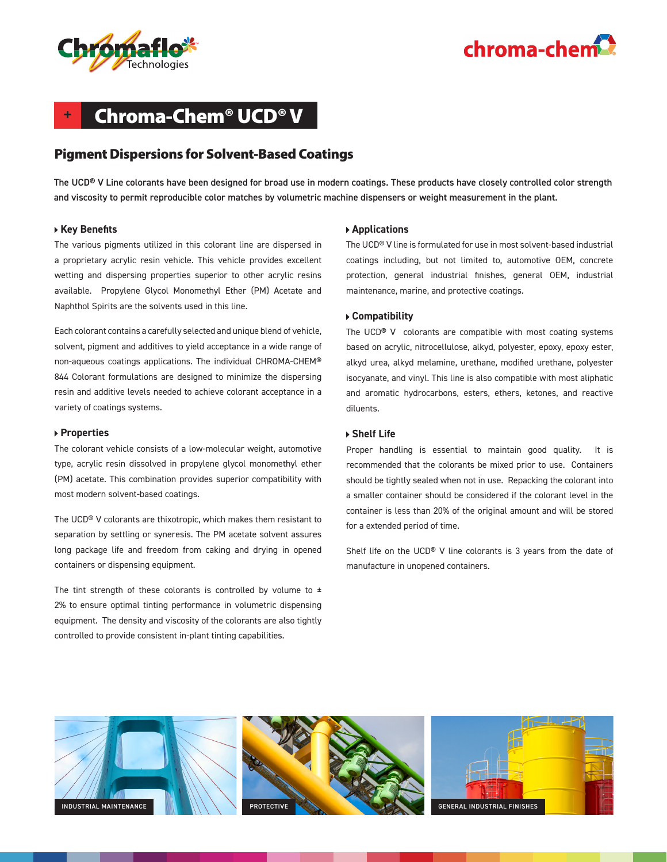



# **+** Chroma-Chem® UCD® V

## Pigment Dispersions for Solvent-Based Coatings

The UCD® V Line colorants have been designed for broad use in modern coatings. These products have closely controlled color strength and viscosity to permit reproducible color matches by volumetric machine dispensers or weight measurement in the plant.

#### **Key Benefits**

The various pigments utilized in this colorant line are dispersed in a proprietary acrylic resin vehicle. This vehicle provides excellent wetting and dispersing properties superior to other acrylic resins available. Propylene Glycol Monomethyl Ether (PM) Acetate and Naphthol Spirits are the solvents used in this line.

Each colorant contains a carefully selected and unique blend of vehicle, solvent, pigment and additives to yield acceptance in a wide range of non-aqueous coatings applications. The individual CHROMA-CHEM® 844 Colorant formulations are designed to minimize the dispersing resin and additive levels needed to achieve colorant acceptance in a variety of coatings systems.

#### **Properties**

The colorant vehicle consists of a low-molecular weight, automotive type, acrylic resin dissolved in propylene glycol monomethyl ether (PM) acetate. This combination provides superior compatibility with most modern solvent-based coatings.

The UCD® V colorants are thixotropic, which makes them resistant to separation by settling or syneresis. The PM acetate solvent assures long package life and freedom from caking and drying in opened containers or dispensing equipment.

The tint strength of these colorants is controlled by volume to  $\pm$ 2% to ensure optimal tinting performance in volumetric dispensing equipment. The density and viscosity of the colorants are also tightly controlled to provide consistent in-plant tinting capabilities.

#### **Applications**

The UCD® V line is formulated for use in most solvent-based industrial coatings including, but not limited to, automotive OEM, concrete protection, general industrial finishes, general OEM, industrial maintenance, marine, and protective coatings.

#### **Compatibility**

The UCD® V colorants are compatible with most coating systems based on acrylic, nitrocellulose, alkyd, polyester, epoxy, epoxy ester, alkyd urea, alkyd melamine, urethane, modified urethane, polyester isocyanate, and vinyl. This line is also compatible with most aliphatic and aromatic hydrocarbons, esters, ethers, ketones, and reactive diluents.

#### **Shelf Life**

Proper handling is essential to maintain good quality. It is recommended that the colorants be mixed prior to use. Containers should be tightly sealed when not in use. Repacking the colorant into a smaller container should be considered if the colorant level in the container is less than 20% of the original amount and will be stored for a extended period of time.

Shelf life on the UCD® V line colorants is 3 years from the date of manufacture in unopened containers.